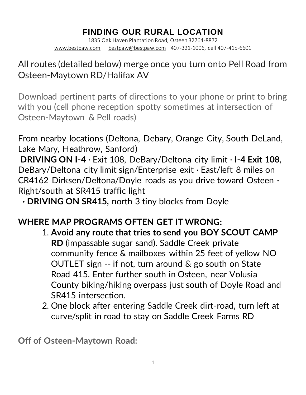# **FINDING OUR RURAL LOCATION**

1835 Oak Haven Plantation Road, Osteen 32764-8872 [www.bestpaw.com](http://www.bestpaw.com/) [bestpaw@bestpaw.com](mailto:bestpaw@bestpaw.com) 407-321-1006, cell 407-415-6601

## All routes (detailed below) merge once you turn onto Pell Road from Osteen-Maytown RD/Halifax AV

Download pertinent parts of directions to your phone or print to bring with you (cell phone reception spotty sometimes at intersection of Osteen-Maytown & Pell roads)

From nearby locations (Deltona, Debary, Orange City, South DeLand, Lake Mary, Heathrow, Sanford)

**DRIVING ON I-4** · Exit 108, DeBary/Deltona city limit · **I-4 Exit 108**, DeBary/Deltona city limit sign/Enterprise exit · East/left 8 miles on CR4162 Dirksen/Deltona/Doyle roads as you drive toward Osteen · Right/south at SR415 traffic light

**· DRIVING ON SR415,** north 3 tiny blocks from Doyle

### **WHERE MAP PROGRAMS OFTEN GET IT WRONG:**

- 1. **Avoid any route that tries to send you BOY SCOUT CAMP RD** (impassable sugar sand). Saddle Creek private community fence & mailboxes within 25 feet of yellow NO OUTLET sign -- if not, turn around & go south on State Road 415. Enter further south in Osteen, near Volusia County biking/hiking overpass just south of Doyle Road and SR415 intersection.
- 2. One block after entering Saddle Creek dirt-road, turn left at curve/split in road to stay on Saddle Creek Farms RD

**Off of Osteen-Maytown Road:**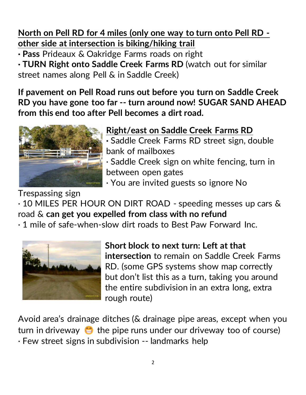**North on Pell RD for 4 miles (only one way to turn onto Pell RD other side at intersection is biking/hiking trail**

**· Pass** Prideaux & Oakridge Farms roads on right

**· TURN Right onto Saddle Creek Farms RD** (watch out for similar street names along Pell & in Saddle Creek)

**If pavement on Pell Road runs out before you turn on Saddle Creek RD you have gone too far -- turn around now! SUGAR SAND AHEAD from this end too after Pell becomes a dirt road.**



**Right/east on Saddle Creek Farms RD** 

**·** Saddle Creek Farms RD street sign, double bank of mailboxes

· Saddle Creek sign on white fencing, turn in between open gates

· You are invited guests so ignore No

Trespassing sign

· 10 MILES PER HOUR ON DIRT ROAD - speeding messes up cars & road & **can get you expelled from class with no refund**

· 1 mile of safe-when-slow dirt roads to Best Paw Forward Inc.



**Short block to next turn: Left at that intersection** to remain on Saddle Creek Farms RD. (some GPS systems show map correctly but don't list this as a turn, taking you around the entire subdivision in an extra long, extra rough route)

Avoid area's drainage ditches (& drainage pipe areas, except when you turn in driveway  $\bigoplus$  the pipe runs under our driveway too of course) · Few street signs in subdivision -- landmarks help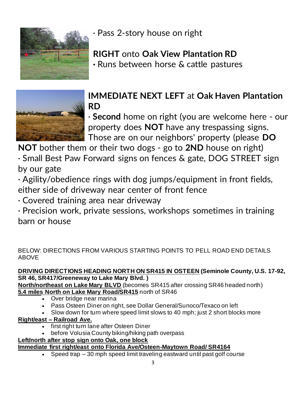

· Pass 2-story house on right

# **RIGHT** onto **Oak View Plantation RD**

**·** Runs between horse & cattle pastures



# **IMMEDIATE NEXT LEFT** at **Oak Haven Plantation RD**

· **Second** home on right (you are welcome here - our property does **NOT** have any trespassing signs. Those are on our neighbors' property (please **DO** 

**NOT** bother them or their two dogs - go to **2ND** house on right)

· Small Best Paw Forward signs on fences & gate, DOG STREET sign by our gate

· Agility/obedience rings with dog jumps/equipment in front fields, either side of driveway near center of front fence

· Covered training area near driveway

· Precision work, private sessions, workshops sometimes in training barn or house

BELOW: DIRECTIONS FROM VARIOUS STARTING POINTS TO PELL ROAD END DETAILS ABOVE

#### **DRIVING DIRECTIONS HEADING NORTH ON SR415 IN OSTEEN (Seminole County, U.S. 17-92, SR 46, SR417/Greeneway to Lake Mary Blvd. )**

**North/northeast on Lake Mary BLVD** (becomes SR415 after crossing SR46 headed north) **5.4 miles North on Lake Mary Road/SR415** north of SR46

- Over bridge near marina
- Pass Osteen Diner on right, see Dollar General/Sunoco/Texaco on left
- Slow down for turn where speed limit slows to 40 mph; just 2 short blocks more

### **Right/east – Railroad Ave.**

- first right turn lane after Osteen Diner
- before Volusia County biking/hiking path overpass

#### **Left/north after stop sign onto Oak, one block**

### **Immediate first right/east onto Florida Ave/Osteen-Maytown Road/ SR4164**

• Speed trap – 30 mph speed limit traveling eastward until past golf course